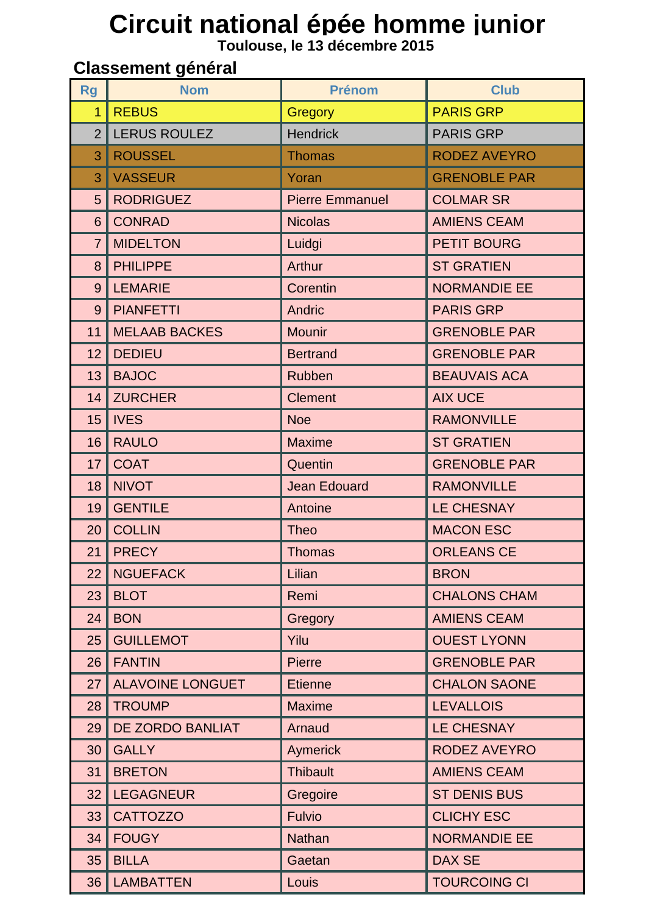## Circuit national épée homme junior<br>Toulouse, le 13 décembre 2015

## **Classement général**

| <b>Rg</b>      | <b>Nom</b>              | <b>Prénom</b>          | <b>Club</b>         |
|----------------|-------------------------|------------------------|---------------------|
| $\overline{1}$ | <b>REBUS</b>            | <b>Gregory</b>         | <b>PARIS GRP</b>    |
| $\overline{2}$ | <b>LERUS ROULEZ</b>     | <b>Hendrick</b>        | <b>PARIS GRP</b>    |
| 3              | <b>ROUSSEL</b>          | <b>Thomas</b>          | <b>RODEZ AVEYRO</b> |
| 3              | <b>VASSEUR</b>          | Yoran                  | <b>GRENOBLE PAR</b> |
| 5              | <b>RODRIGUEZ</b>        | <b>Pierre Emmanuel</b> | <b>COLMAR SR</b>    |
| 6              | <b>CONRAD</b>           | <b>Nicolas</b>         | <b>AMIENS CEAM</b>  |
| $\overline{7}$ | <b>MIDELTON</b>         | Luidgi                 | <b>PETIT BOURG</b>  |
| 8              | <b>PHILIPPE</b>         | Arthur                 | <b>ST GRATIEN</b>   |
| 9              | <b>LEMARIE</b>          | Corentin               | <b>NORMANDIE EE</b> |
| 9              | <b>PIANFETTI</b>        | Andric                 | <b>PARIS GRP</b>    |
| 11             | <b>MELAAB BACKES</b>    | <b>Mounir</b>          | <b>GRENOBLE PAR</b> |
| 12             | <b>DEDIEU</b>           | <b>Bertrand</b>        | <b>GRENOBLE PAR</b> |
| 13             | <b>BAJOC</b>            | <b>Rubben</b>          | <b>BEAUVAIS ACA</b> |
| 14             | <b>ZURCHER</b>          | <b>Clement</b>         | <b>AIX UCE</b>      |
| 15             | <b>IVES</b>             | <b>Noe</b>             | <b>RAMONVILLE</b>   |
| 16             | <b>RAULO</b>            | <b>Maxime</b>          | <b>ST GRATIEN</b>   |
| 17             | <b>COAT</b>             | Quentin                | <b>GRENOBLE PAR</b> |
| 18             | <b>NIVOT</b>            | <b>Jean Edouard</b>    | <b>RAMONVILLE</b>   |
| 19             | <b>GENTILE</b>          | Antoine                | <b>LE CHESNAY</b>   |
| 20             | <b>COLLIN</b>           | <b>Theo</b>            | <b>MACON ESC</b>    |
| 21             | <b>PRECY</b>            | <b>Thomas</b>          | <b>ORLEANS CE</b>   |
| 22             | <b>NGUEFACK</b>         | Lilian                 | <b>BRON</b>         |
| 23             | <b>BLOT</b>             | Remi                   | <b>CHALONS CHAM</b> |
| 24             | <b>BON</b>              | Gregory                | <b>AMIENS CEAM</b>  |
| 25             | <b>GUILLEMOT</b>        | Yilu                   | <b>OUEST LYONN</b>  |
| 26             | <b>FANTIN</b>           | <b>Pierre</b>          | <b>GRENOBLE PAR</b> |
| 27             | <b>ALAVOINE LONGUET</b> | <b>Etienne</b>         | <b>CHALON SAONE</b> |
| 28             | <b>TROUMP</b>           | <b>Maxime</b>          | <b>LEVALLOIS</b>    |
| 29             | DE ZORDO BANLIAT        | Arnaud                 | <b>LE CHESNAY</b>   |
| 30             | <b>GALLY</b>            | <b>Aymerick</b>        | <b>RODEZ AVEYRO</b> |
| 31             | <b>BRETON</b>           | <b>Thibault</b>        | <b>AMIENS CEAM</b>  |
| 32             | <b>LEGAGNEUR</b>        | Gregoire               | <b>ST DENIS BUS</b> |
| 33             | <b>CATTOZZO</b>         | <b>Fulvio</b>          | <b>CLICHY ESC</b>   |
| 34             | <b>FOUGY</b>            | <b>Nathan</b>          | <b>NORMANDIE EE</b> |
| 35             | <b>BILLA</b>            | Gaetan                 | <b>DAX SE</b>       |
| 36             | <b>LAMBATTEN</b>        | Louis                  | <b>TOURCOING CI</b> |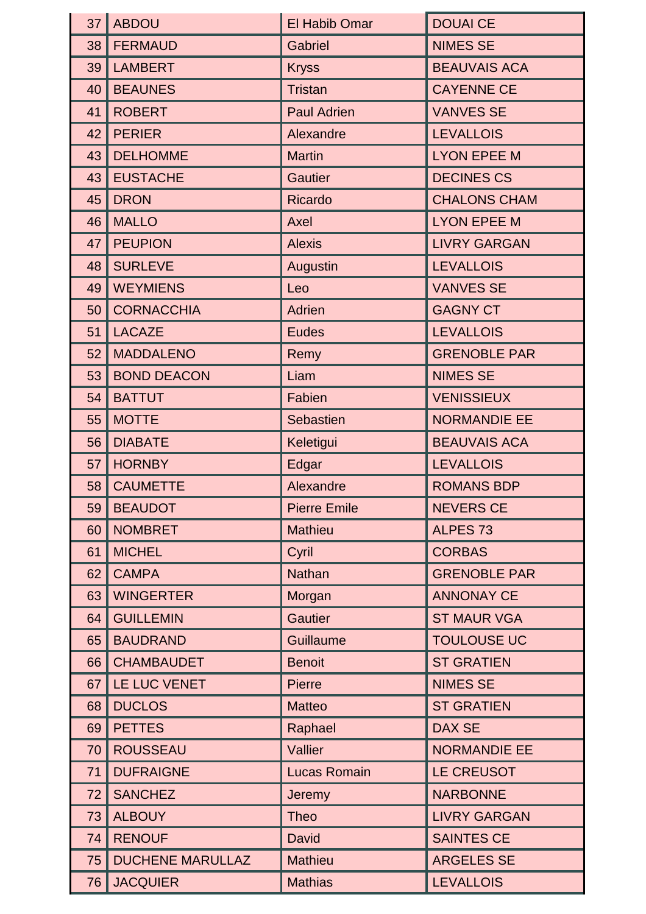| 37 | <b>ABDOU</b>            | El Habib Omar       | <b>DOUAI CE</b>     |
|----|-------------------------|---------------------|---------------------|
| 38 | <b>FERMAUD</b>          | <b>Gabriel</b>      | <b>NIMES SE</b>     |
| 39 | <b>LAMBERT</b>          | <b>Kryss</b>        | <b>BEAUVAIS ACA</b> |
| 40 | <b>BEAUNES</b>          | <b>Tristan</b>      | <b>CAYENNE CE</b>   |
| 41 | <b>ROBERT</b>           | <b>Paul Adrien</b>  | <b>VANVES SE</b>    |
| 42 | <b>PERIER</b>           | Alexandre           | <b>LEVALLOIS</b>    |
| 43 | <b>DELHOMME</b>         | <b>Martin</b>       | <b>LYON EPEE M</b>  |
| 43 | <b>EUSTACHE</b>         | <b>Gautier</b>      | <b>DECINES CS</b>   |
| 45 | <b>DRON</b>             | <b>Ricardo</b>      | <b>CHALONS CHAM</b> |
| 46 | <b>MALLO</b>            | Axel                | <b>LYON EPEE M</b>  |
| 47 | <b>PEUPION</b>          | <b>Alexis</b>       | <b>LIVRY GARGAN</b> |
| 48 | <b>SURLEVE</b>          | Augustin            | <b>LEVALLOIS</b>    |
| 49 | <b>WEYMIENS</b>         | Leo                 | <b>VANVES SE</b>    |
| 50 | <b>CORNACCHIA</b>       | <b>Adrien</b>       | <b>GAGNY CT</b>     |
| 51 | <b>LACAZE</b>           | <b>Eudes</b>        | <b>LEVALLOIS</b>    |
| 52 | <b>MADDALENO</b>        | Remy                | <b>GRENOBLE PAR</b> |
| 53 | <b>BOND DEACON</b>      | Liam                | <b>NIMES SE</b>     |
| 54 | <b>BATTUT</b>           | Fabien              | <b>VENISSIEUX</b>   |
| 55 | <b>MOTTE</b>            | Sebastien           | <b>NORMANDIE EE</b> |
| 56 | <b>DIABATE</b>          | Keletigui           | <b>BEAUVAIS ACA</b> |
| 57 | <b>HORNBY</b>           | Edgar               | <b>LEVALLOIS</b>    |
| 58 | <b>CAUMETTE</b>         | Alexandre           | <b>ROMANS BDP</b>   |
| 59 | <b>BEAUDOT</b>          | <b>Pierre Emile</b> | <b>NEVERS CE</b>    |
| 60 | <b>NOMBRET</b>          | <b>Mathieu</b>      | ALPES <sub>73</sub> |
| 61 | <b>MICHEL</b>           | Cyril               | <b>CORBAS</b>       |
| 62 | <b>CAMPA</b>            | <b>Nathan</b>       | <b>GRENOBLE PAR</b> |
| 63 | <b>WINGERTER</b>        | Morgan              | <b>ANNONAY CE</b>   |
| 64 | <b>GUILLEMIN</b>        | <b>Gautier</b>      | <b>ST MAUR VGA</b>  |
| 65 | <b>BAUDRAND</b>         | <b>Guillaume</b>    | <b>TOULOUSE UC</b>  |
| 66 | <b>CHAMBAUDET</b>       | <b>Benoit</b>       | <b>ST GRATIEN</b>   |
| 67 | LE LUC VENET            | <b>Pierre</b>       | <b>NIMES SE</b>     |
| 68 | <b>DUCLOS</b>           | <b>Matteo</b>       | <b>ST GRATIEN</b>   |
| 69 | <b>PETTES</b>           | Raphael             | <b>DAX SE</b>       |
| 70 | <b>ROUSSEAU</b>         | Vallier             | <b>NORMANDIE EE</b> |
| 71 | <b>DUFRAIGNE</b>        | <b>Lucas Romain</b> | LE CREUSOT          |
| 72 | <b>SANCHEZ</b>          | Jeremy              | <b>NARBONNE</b>     |
| 73 | <b>ALBOUY</b>           | <b>Theo</b>         | <b>LIVRY GARGAN</b> |
| 74 | <b>RENOUF</b>           | <b>David</b>        | <b>SAINTES CE</b>   |
| 75 | <b>DUCHENE MARULLAZ</b> | <b>Mathieu</b>      | <b>ARGELES SE</b>   |
| 76 | <b>JACQUIER</b>         | <b>Mathias</b>      | <b>LEVALLOIS</b>    |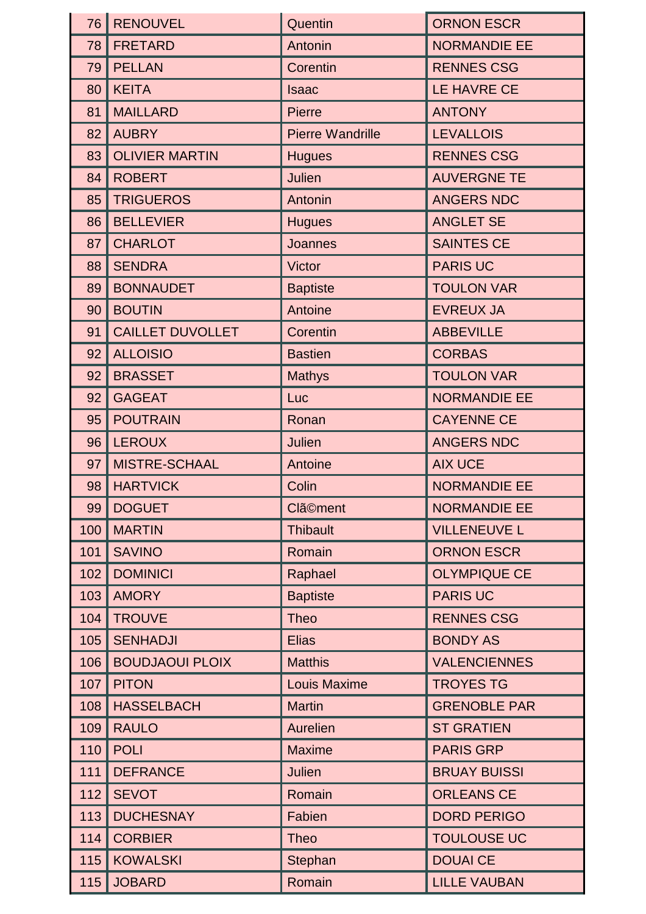| 76  | <b>RENOUVEL</b>         | Quentin                 | <b>ORNON ESCR</b>   |
|-----|-------------------------|-------------------------|---------------------|
| 78  | <b>FRETARD</b>          | Antonin                 | <b>NORMANDIE EE</b> |
| 79  | <b>PELLAN</b>           | Corentin                | <b>RENNES CSG</b>   |
| 80  | <b>KEITA</b>            | <b>Isaac</b>            | LE HAVRE CE         |
| 81  | <b>MAILLARD</b>         | <b>Pierre</b>           | <b>ANTONY</b>       |
| 82  | <b>AUBRY</b>            | <b>Pierre Wandrille</b> | <b>LEVALLOIS</b>    |
| 83  | <b>OLIVIER MARTIN</b>   | <b>Hugues</b>           | <b>RENNES CSG</b>   |
| 84  | <b>ROBERT</b>           | <b>Julien</b>           | <b>AUVERGNE TE</b>  |
| 85  | <b>TRIGUEROS</b>        | Antonin                 | <b>ANGERS NDC</b>   |
| 86  | <b>BELLEVIER</b>        | <b>Hugues</b>           | <b>ANGLET SE</b>    |
| 87  | <b>CHARLOT</b>          | <b>Joannes</b>          | <b>SAINTES CE</b>   |
| 88  | <b>SENDRA</b>           | <b>Victor</b>           | <b>PARIS UC</b>     |
| 89  | <b>BONNAUDET</b>        | <b>Baptiste</b>         | <b>TOULON VAR</b>   |
| 90  | <b>BOUTIN</b>           | Antoine                 | <b>EVREUX JA</b>    |
| 91  | <b>CAILLET DUVOLLET</b> | Corentin                | <b>ABBEVILLE</b>    |
| 92  | <b>ALLOISIO</b>         | <b>Bastien</b>          | <b>CORBAS</b>       |
| 92  | <b>BRASSET</b>          | <b>Mathys</b>           | <b>TOULON VAR</b>   |
| 92  | <b>GAGEAT</b>           | Luc                     | <b>NORMANDIE EE</b> |
| 95  | <b>POUTRAIN</b>         | Ronan                   | <b>CAYENNE CE</b>   |
| 96  | <b>LEROUX</b>           | Julien                  | <b>ANGERS NDC</b>   |
| 97  | <b>MISTRE-SCHAAL</b>    | Antoine                 | <b>AIX UCE</b>      |
| 98  | <b>HARTVICK</b>         | Colin                   | <b>NORMANDIE EE</b> |
| 99  | <b>DOGUET</b>           | <b>Clä©ment</b>         | <b>NORMANDIE EE</b> |
| 100 | <b>MARTIN</b>           | <b>Thibault</b>         | <b>VILLENEUVE L</b> |
| 101 | <b>SAVINO</b>           | Romain                  | <b>ORNON ESCR</b>   |
| 102 | <b>DOMINICI</b>         | Raphael                 | <b>OLYMPIQUE CE</b> |
| 103 | <b>AMORY</b>            | <b>Baptiste</b>         | <b>PARIS UC</b>     |
| 104 | <b>TROUVE</b>           | <b>Theo</b>             | <b>RENNES CSG</b>   |
| 105 | <b>SENHADJI</b>         | <b>Elias</b>            | <b>BONDY AS</b>     |
| 106 | <b>BOUDJAOUI PLOIX</b>  | <b>Matthis</b>          | <b>VALENCIENNES</b> |
| 107 | <b>PITON</b>            | <b>Louis Maxime</b>     | <b>TROYES TG</b>    |
| 108 | <b>HASSELBACH</b>       | <b>Martin</b>           | <b>GRENOBLE PAR</b> |
| 109 | <b>RAULO</b>            | Aurelien                | <b>ST GRATIEN</b>   |
| 110 | <b>POLI</b>             | <b>Maxime</b>           | <b>PARIS GRP</b>    |
| 111 | <b>DEFRANCE</b>         | <b>Julien</b>           | <b>BRUAY BUISSI</b> |
| 112 | <b>SEVOT</b>            | Romain                  | <b>ORLEANS CE</b>   |
| 113 | <b>DUCHESNAY</b>        | Fabien                  | <b>DORD PERIGO</b>  |
| 114 | <b>CORBIER</b>          | <b>Theo</b>             | <b>TOULOUSE UC</b>  |
| 115 | <b>KOWALSKI</b>         | Stephan                 | <b>DOUAI CE</b>     |
| 115 | <b>JOBARD</b>           | Romain                  | <b>LILLE VAUBAN</b> |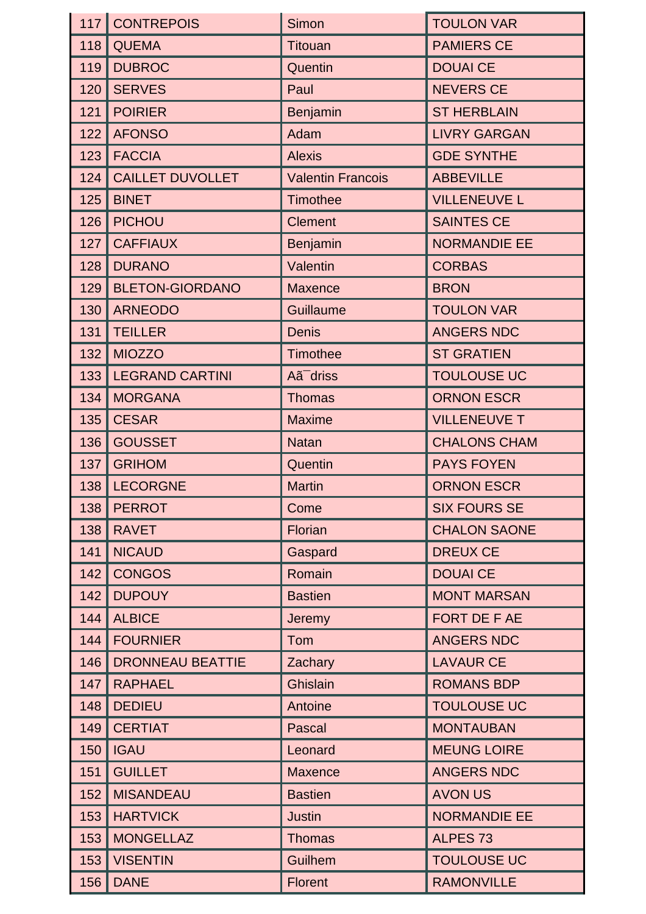|     | 117 CONTREPOIS          | Simon                    | <b>TOULON VAR</b>   |
|-----|-------------------------|--------------------------|---------------------|
| 118 | <b>QUEMA</b>            | <b>Titouan</b>           | <b>PAMIERS CE</b>   |
| 119 | <b>DUBROC</b>           | Quentin                  | <b>DOUAI CE</b>     |
| 120 | <b>SERVES</b>           | Paul                     | <b>NEVERS CE</b>    |
| 121 | <b>POIRIER</b>          | Benjamin                 | <b>ST HERBLAIN</b>  |
| 122 | <b>AFONSO</b>           | Adam                     | <b>LIVRY GARGAN</b> |
| 123 | <b>FACCIA</b>           | <b>Alexis</b>            | <b>GDE SYNTHE</b>   |
| 124 | <b>CAILLET DUVOLLET</b> | <b>Valentin Francois</b> | <b>ABBEVILLE</b>    |
| 125 | <b>BINET</b>            | <b>Timothee</b>          | <b>VILLENEUVE L</b> |
| 126 | <b>PICHOU</b>           | <b>Clement</b>           | <b>SAINTES CE</b>   |
| 127 | <b>CAFFIAUX</b>         | Benjamin                 | <b>NORMANDIE EE</b> |
| 128 | <b>DURANO</b>           | Valentin                 | <b>CORBAS</b>       |
| 129 | <b>BLETON-GIORDANO</b>  | <b>Maxence</b>           | <b>BRON</b>         |
| 130 | <b>ARNEODO</b>          | Guillaume                | <b>TOULON VAR</b>   |
| 131 | <b>TEILLER</b>          | <b>Denis</b>             | <b>ANGERS NDC</b>   |
| 132 | <b>MIOZZO</b>           | <b>Timothee</b>          | <b>ST GRATIEN</b>   |
| 133 | <b>LEGRAND CARTINI</b>  | Aã <sup>-</sup> driss    | <b>TOULOUSE UC</b>  |
| 134 | <b>MORGANA</b>          | <b>Thomas</b>            | <b>ORNON ESCR</b>   |
| 135 | <b>CESAR</b>            | <b>Maxime</b>            | <b>VILLENEUVE T</b> |
| 136 | <b>GOUSSET</b>          | <b>Natan</b>             | <b>CHALONS CHAM</b> |
| 137 | <b>GRIHOM</b>           | Quentin                  | <b>PAYS FOYEN</b>   |
| 138 | <b>LECORGNE</b>         | <b>Martin</b>            | <b>ORNON ESCR</b>   |
| 138 | <b>PERROT</b>           | Come                     | <b>SIX FOURS SE</b> |
| 138 | <b>RAVET</b>            | Florian                  | <b>CHALON SAONE</b> |
| 141 | <b>NICAUD</b>           | Gaspard                  | <b>DREUX CE</b>     |
| 142 | <b>CONGOS</b>           | Romain                   | <b>DOUAI CE</b>     |
| 142 | <b>DUPOUY</b>           | <b>Bastien</b>           | <b>MONT MARSAN</b>  |
| 144 | <b>ALBICE</b>           | Jeremy                   | FORT DE F AE        |
| 144 | <b>FOURNIER</b>         | Tom                      | <b>ANGERS NDC</b>   |
| 146 | <b>DRONNEAU BEATTIE</b> | Zachary                  | <b>LAVAUR CE</b>    |
| 147 | <b>RAPHAEL</b>          | Ghislain                 | <b>ROMANS BDP</b>   |
| 148 | <b>DEDIEU</b>           | Antoine                  | <b>TOULOUSE UC</b>  |
| 149 | <b>CERTIAT</b>          | Pascal                   | <b>MONTAUBAN</b>    |
| 150 | <b>IGAU</b>             | Leonard                  | <b>MEUNG LOIRE</b>  |
| 151 | <b>GUILLET</b>          | <b>Maxence</b>           | <b>ANGERS NDC</b>   |
| 152 | <b>MISANDEAU</b>        | <b>Bastien</b>           | <b>AVON US</b>      |
| 153 | <b>HARTVICK</b>         | <b>Justin</b>            | <b>NORMANDIE EE</b> |
| 153 | <b>MONGELLAZ</b>        | <b>Thomas</b>            | <b>ALPES 73</b>     |
| 153 | <b>VISENTIN</b>         | Guilhem                  | <b>TOULOUSE UC</b>  |
| 156 | <b>DANE</b>             | <b>Florent</b>           | <b>RAMONVILLE</b>   |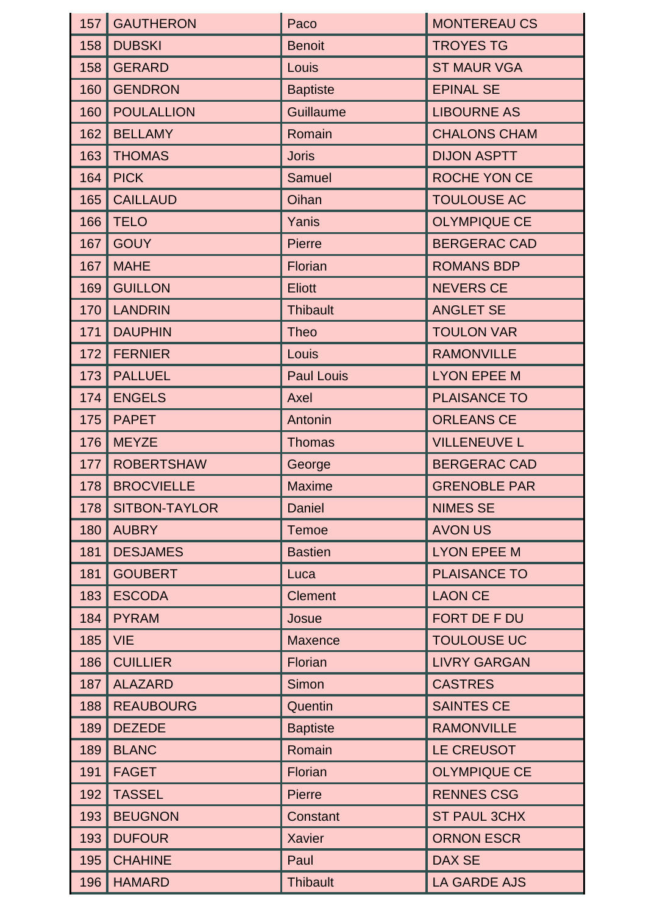| 157 | <b>GAUTHERON</b>     | Paco              | <b>MONTEREAU CS</b> |
|-----|----------------------|-------------------|---------------------|
| 158 | <b>DUBSKI</b>        | <b>Benoit</b>     | <b>TROYES TG</b>    |
| 158 | <b>GERARD</b>        | Louis             | <b>ST MAUR VGA</b>  |
| 160 | <b>GENDRON</b>       | <b>Baptiste</b>   | <b>EPINAL SE</b>    |
| 160 | <b>POULALLION</b>    | <b>Guillaume</b>  | <b>LIBOURNE AS</b>  |
| 162 | <b>BELLAMY</b>       | Romain            | <b>CHALONS CHAM</b> |
| 163 | <b>THOMAS</b>        | <b>Joris</b>      | <b>DIJON ASPTT</b>  |
| 164 | <b>PICK</b>          | <b>Samuel</b>     | ROCHE YON CE        |
| 165 | <b>CAILLAUD</b>      | Oihan             | <b>TOULOUSE AC</b>  |
| 166 | <b>TELO</b>          | Yanis             | <b>OLYMPIQUE CE</b> |
| 167 | <b>GOUY</b>          | <b>Pierre</b>     | <b>BERGERAC CAD</b> |
| 167 | <b>MAHE</b>          | Florian           | <b>ROMANS BDP</b>   |
| 169 | <b>GUILLON</b>       | <b>Eliott</b>     | <b>NEVERS CE</b>    |
| 170 | <b>LANDRIN</b>       | <b>Thibault</b>   | <b>ANGLET SE</b>    |
| 171 | <b>DAUPHIN</b>       | <b>Theo</b>       | <b>TOULON VAR</b>   |
| 172 | <b>FERNIER</b>       | <b>Louis</b>      | <b>RAMONVILLE</b>   |
| 173 | <b>PALLUEL</b>       | <b>Paul Louis</b> | <b>LYON EPEE M</b>  |
| 174 | <b>ENGELS</b>        | Axel              | <b>PLAISANCE TO</b> |
| 175 | <b>PAPET</b>         | Antonin           | <b>ORLEANS CE</b>   |
| 176 | <b>MEYZE</b>         | <b>Thomas</b>     | <b>VILLENEUVE L</b> |
| 177 | <b>ROBERTSHAW</b>    | George            | <b>BERGERAC CAD</b> |
|     | 178   BROCVIELLE     | <b>Maxime</b>     | <b>GRENOBLE PAR</b> |
| 178 | <b>SITBON-TAYLOR</b> | <b>Daniel</b>     | <b>NIMES SE</b>     |
| 180 | <b>AUBRY</b>         | <b>Temoe</b>      | <b>AVON US</b>      |
| 181 | <b>DESJAMES</b>      | <b>Bastien</b>    | <b>LYON EPEE M</b>  |
| 181 | <b>GOUBERT</b>       | Luca              | <b>PLAISANCE TO</b> |
| 183 | <b>ESCODA</b>        | <b>Clement</b>    | <b>LAON CE</b>      |
| 184 | <b>PYRAM</b>         | Josue             | FORT DE F DU        |
| 185 | <b>VIE</b>           | <b>Maxence</b>    | <b>TOULOUSE UC</b>  |
| 186 | <b>CUILLIER</b>      | Florian           | <b>LIVRY GARGAN</b> |
| 187 | <b>ALAZARD</b>       | Simon             | <b>CASTRES</b>      |
| 188 | <b>REAUBOURG</b>     | Quentin           | <b>SAINTES CE</b>   |
| 189 | <b>DEZEDE</b>        | <b>Baptiste</b>   | <b>RAMONVILLE</b>   |
| 189 | <b>BLANC</b>         | Romain            | <b>LE CREUSOT</b>   |
| 191 | <b>FAGET</b>         | Florian           | <b>OLYMPIQUE CE</b> |
| 192 | <b>TASSEL</b>        | Pierre            | <b>RENNES CSG</b>   |
| 193 | <b>BEUGNON</b>       | Constant          | <b>ST PAUL 3CHX</b> |
| 193 | <b>DUFOUR</b>        | <b>Xavier</b>     | <b>ORNON ESCR</b>   |
| 195 | <b>CHAHINE</b>       | Paul              | <b>DAX SE</b>       |
| 196 | <b>HAMARD</b>        | <b>Thibault</b>   | LA GARDE AJS        |